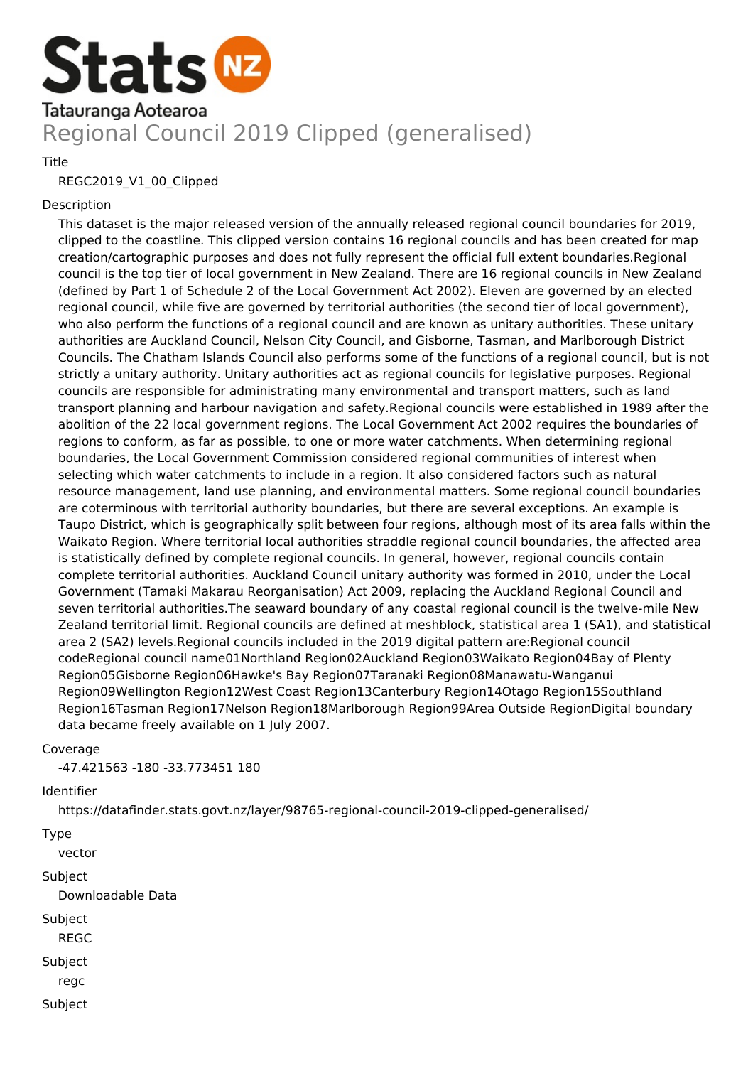

# Regional Council 2019 Clipped (generalised)

#### **Title**

## REGC2019\_V1\_00\_Clipped

### Description

This dataset is the major released version of the annually released regional council boundaries for 2019, clipped to the coastline. This clipped version contains 16 regional councils and has been created for map creation/cartographic purposes and does not fully represent the official full extent boundaries.Regional council is the top tier of local government in New Zealand. There are 16 regional councils in New Zealand (defined by Part 1 of Schedule 2 of the Local Government Act 2002). Eleven are governed by an elected regional council, while five are governed by territorial authorities (the second tier of local government), who also perform the functions of a regional council and are known as unitary authorities. These unitary authorities are Auckland Council, Nelson City Council, and Gisborne, Tasman, and Marlborough District Councils. The Chatham Islands Council also performs some of the functions of a regional council, but is not strictly a unitary authority. Unitary authorities act as regional councils for legislative purposes. Regional councils are responsible for administrating many environmental and transport matters, such as land transport planning and harbour navigation and safety.Regional councils were established in 1989 after the abolition of the 22 local government regions. The Local Government Act 2002 requires the boundaries of regions to conform, as far as possible, to one or more water catchments. When determining regional boundaries, the Local Government Commission considered regional communities of interest when selecting which water catchments to include in a region. It also considered factors such as natural resource management, land use planning, and environmental matters. Some regional council boundaries are coterminous with territorial authority boundaries, but there are several exceptions. An example is Taupo District, which is geographically split between four regions, although most of its area falls within the Waikato Region. Where territorial local authorities straddle regional council boundaries, the affected area is statistically defined by complete regional councils. In general, however, regional councils contain complete territorial authorities. Auckland Council unitary authority was formed in 2010, under the Local Government (Tamaki Makarau Reorganisation) Act 2009, replacing the Auckland Regional Council and seven territorial authorities.The seaward boundary of any coastal regional council is the twelve-mile New Zealand territorial limit. Regional councils are defined at meshblock, statistical area 1 (SA1), and statistical area 2 (SA2) levels.Regional councils included in the 2019 digital pattern are:Regional council codeRegional council name01Northland Region02Auckland Region03Waikato Region04Bay of Plenty Region05Gisborne Region06Hawke's Bay Region07Taranaki Region08Manawatu-Wanganui Region09Wellington Region12West Coast Region13Canterbury Region14Otago Region15Southland Region16Tasman Region17Nelson Region18Marlborough Region99Area Outside RegionDigital boundary data became freely available on 1 July 2007.

#### Coverage

-47.421563 -180 -33.773451 180

## Identifier

https://datafinder.stats.govt.nz/layer/98765-regional-council-2019-clipped-generalised/

#### Type

vector

#### Subject

Downloadable Data

## Subject

- REGC
- Subject
	- regc
- Subject